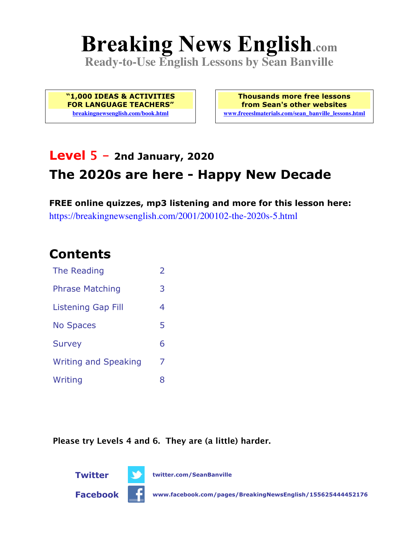# **Breaking News English.com**

**Ready-to-Use English Lessons by Sean Banville**

**"1,000 IDEAS & ACTIVITIES FOR LANGUAGE TEACHERS" breakingnewsenglish.com/book.html**

**Thousands more free lessons from Sean's other websites www.freeeslmaterials.com/sean\_banville\_lessons.html**

## **Level 5 - 2nd January, 2020 The 2020s are here - Happy New Decade**

**FREE online quizzes, mp3 listening and more for this lesson here:** https://breakingnewsenglish.com/2001/200102-the-2020s-5.html

#### **Contents**

| The Reading                 | $\overline{\phantom{a}}$ |
|-----------------------------|--------------------------|
| <b>Phrase Matching</b>      | 3                        |
| Listening Gap Fill          | 4                        |
| <b>No Spaces</b>            | 5                        |
| <b>Survey</b>               | 6                        |
| <b>Writing and Speaking</b> | 7                        |
| Writing                     | 8                        |

**Please try Levels 4 and 6. They are (a little) harder.**





**Twitter twitter.com/SeanBanville**

**Facebook www.facebook.com/pages/BreakingNewsEnglish/155625444452176**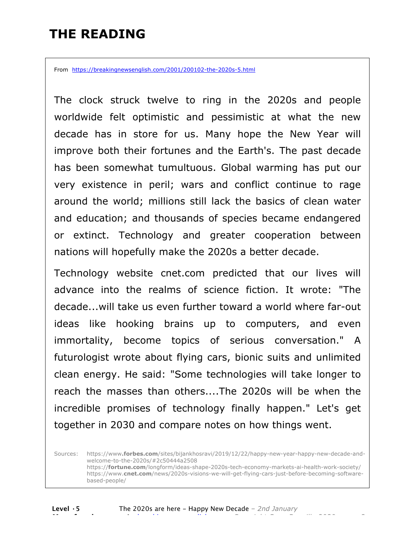#### **THE READING**

From https://breakingnewsenglish.com/2001/200102-the-2020s-5.html

The clock struck twelve to ring in the 2020s and people worldwide felt optimistic and pessimistic at what the new decade has in store for us. Many hope the New Year will improve both their fortunes and the Earth's. The past decade has been somewhat tumultuous. Global warming has put our very existence in peril; wars and conflict continue to rage around the world; millions still lack the basics of clean water and education; and thousands of species became endangered or extinct. Technology and greater cooperation between nations will hopefully make the 2020s a better decade.

Technology website cnet.com predicted that our lives will advance into the realms of science fiction. It wrote: "The decade...will take us even further toward a world where far-out ideas like hooking brains up to computers, and even immortality, become topics of serious conversation." A futurologist wrote about flying cars, bionic suits and unlimited clean energy. He said: "Some technologies will take longer to reach the masses than others....The 2020s will be when the incredible promises of technology finally happen." Let's get together in 2030 and compare notes on how things went.

Sources: https://www**.forbes.com**/sites/bijankhosravi/2019/12/22/happy-new-year-happy-new-decade-andwelcome-to-the-2020s/#2c50444a2508 https://**fortune.com**/longform/ideas-shape-2020s-tech-economy-markets-ai-health-work-society/ https://www.**cnet.com**/news/2020s-visions-we-will-get-flying-cars-just-before-becoming-softwarebased-people/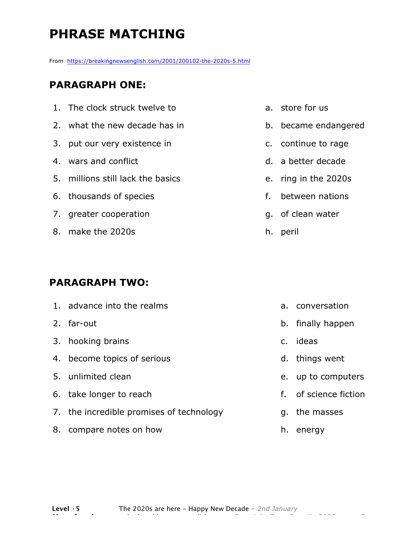## **PHRASE MATCHING**

From https://breakingnewsenglish.com/2001/200102-the-2020s-5.html

#### **PARAGRAPH ONE:**

- 1. The clock struck twelve to
- 2. what the new decade has in
- 3. put our very existence in
- 4. wars and conflict
- 5. millions still lack the basics
- 6. thousands of species
- 7. greater cooperation
- 8. make the 2020s

#### **PARAGRAPH TWO:**

1. advance into the realms 2. far-out 3. hooking brains 4. become topics of serious 5. unlimited clean 6. take longer to reach 7. the incredible promises of technology 8. compare notes on how a. conversation b. finally happen c. ideas d. things went g. the masses

- a. store for us
- b. became endangered
- c. continue to rage
- d. a better decade
- e. ring in the 2020s
- f. between nations
- g. of clean water
- h. peril

- e. up to computers
- f. of science fiction
- h. energy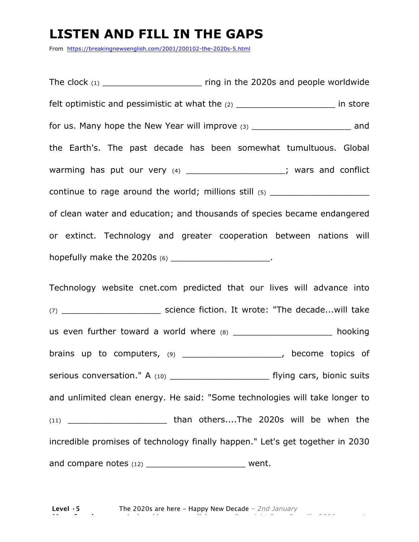#### **LISTEN AND FILL IN THE GAPS**

From https://breakingnewsenglish.com/2001/200102-the-2020s-5.html

The clock  $(1)$  and  $(2020s)$  and people worldwide felt optimistic and pessimistic at what the (2) \_\_\_\_\_\_\_\_\_\_\_\_\_\_\_\_\_\_\_\_\_\_\_\_\_\_\_\_\_\_\_\_\_ in store for us. Many hope the New Year will improve (3) \_\_\_\_\_\_\_\_\_\_\_\_\_\_\_\_\_\_\_\_\_\_\_\_\_\_ and the Earth's. The past decade has been somewhat tumultuous. Global warming has put our very (4) \_\_\_\_\_\_\_\_\_\_\_\_\_\_\_\_\_\_\_\_; wars and conflict continue to rage around the world; millions still (5) \_\_\_\_\_\_\_\_\_\_\_\_\_\_\_\_\_\_\_ of clean water and education; and thousands of species became endangered or extinct. Technology and greater cooperation between nations will hopefully make the 2020s (6) \_\_\_\_\_\_\_\_\_\_\_\_\_\_\_\_\_\_\_\_\_\_\_. Technology website cnet.com predicted that our lives will advance into (7) contract the science fiction. It wrote: "The decade...will take

us even further toward a world where  $(8)$  \_\_\_\_\_\_\_\_\_\_\_\_\_\_\_\_\_\_\_\_\_\_\_ hooking brains up to computers, (9) \_\_\_\_\_\_\_\_\_\_\_\_\_\_\_\_\_\_\_\_\_, become topics of serious conversation." A (10) \_\_\_\_\_\_\_\_\_\_\_\_\_\_\_\_\_\_\_\_\_\_\_\_\_\_\_ flying cars, bionic suits and unlimited clean energy. He said: "Some technologies will take longer to (11) \_\_\_\_\_\_\_\_\_\_\_\_\_\_\_\_\_\_\_ than others....The 2020s will be when the incredible promises of technology finally happen." Let's get together in 2030 and compare notes (12) example the went.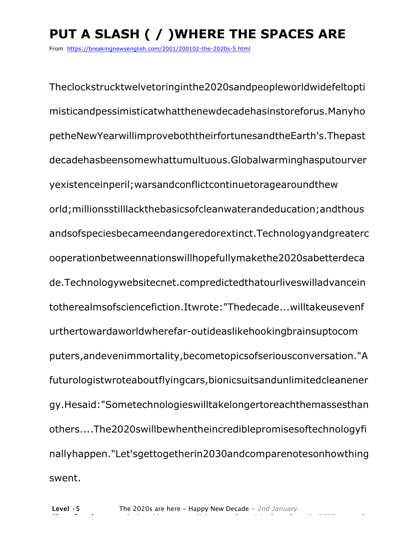# **PUT A SLASH ( / )WHERE THE SPACES ARE**

From https://breakingnewsenglish.com/2001/200102-the-2020s-5.html

Theclockstrucktwelvetoringinthe2020sandpeopleworldwidefeltopti misticandpessimisticatwhatthenewdecadehasinstoreforus.Manyho petheNewYearwillimproveboththeirfortunesandtheEarth's.Thepast decadehasbeensomewhattumultuous.Globalwarminghasputourver yexistenceinperil;warsandconflictcontinuetoragearoundthew orld;millionsstilllackthebasicsofcleanwaterandeducation;andthous andsofspeciesbecameendangeredorextinct.Technologyandgreaterc ooperationbetweennationswillhopefullymakethe2020sabetterdeca de.Technologywebsitecnet.compredictedthatourliveswilladvancein totherealmsofsciencefiction.Itwrote:"Thedecade...willtakeusevenf urthertowardaworldwherefar-outideaslikehookingbrainsuptocom puters,andevenimmortality,becometopicsofseriousconversation."A futurologistwroteaboutflyingcars,bionicsuitsandunlimitedcleanener gy.Hesaid:"Sometechnologieswilltakelongertoreachthemassesthan others....The2020swillbewhentheincrediblepromisesoftechnologyfi nallyhappen."Let'sgettogetherin2030andcomparenotesonhowthing swent.

**More free lessons at** breakingnewsenglish.com - Copyright Sean Banville 2020 5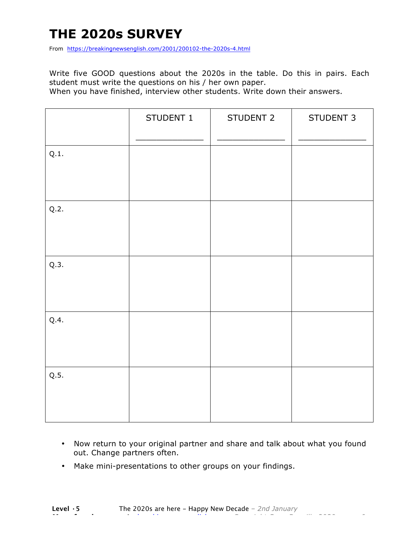## **THE 2020s SURVEY**

From https://breakingnewsenglish.com/2001/200102-the-2020s-4.html

Write five GOOD questions about the 2020s in the table. Do this in pairs. Each student must write the questions on his / her own paper.

When you have finished, interview other students. Write down their answers.

|      | STUDENT 1 | STUDENT 2 | STUDENT 3 |
|------|-----------|-----------|-----------|
| Q.1. |           |           |           |
| Q.2. |           |           |           |
| Q.3. |           |           |           |
| Q.4. |           |           |           |
| Q.5. |           |           |           |

- Now return to your original partner and share and talk about what you found out. Change partners often.
- Make mini-presentations to other groups on your findings.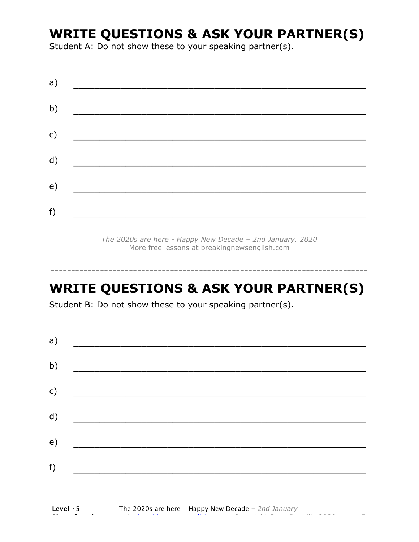#### **WRITE QUESTIONS & ASK YOUR PARTNER(S)**

Student A: Do not show these to your speaking partner(s).

*The 2020s are here - Happy New Decade – 2nd January, 2020* More free lessons at breakingnewsenglish.com

#### **WRITE QUESTIONS & ASK YOUR PARTNER(S)**

-----------------------------------------------------------------------------

Student B: Do not show these to your speaking partner(s).

| a)            |  |  |
|---------------|--|--|
| b)            |  |  |
| $\mathsf{c})$ |  |  |
| d)            |  |  |
| e)            |  |  |
| f)            |  |  |
|               |  |  |